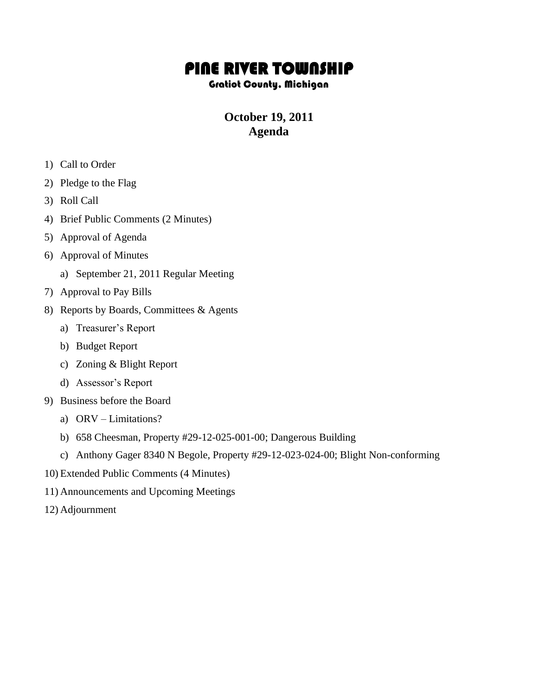## PINE RIVER TOWNSHIP

## Gratiot County, Michigan

## **October 19, 2011 Agenda**

- 1) Call to Order
- 2) Pledge to the Flag
- 3) Roll Call
- 4) Brief Public Comments (2 Minutes)
- 5) Approval of Agenda
- 6) Approval of Minutes
	- a) September 21, 2011 Regular Meeting
- 7) Approval to Pay Bills
- 8) Reports by Boards, Committees & Agents
	- a) Treasurer's Report
	- b) Budget Report
	- c) Zoning & Blight Report
	- d) Assessor's Report
- 9) Business before the Board
	- a) ORV Limitations?
	- b) 658 Cheesman, Property #29-12-025-001-00; Dangerous Building
	- c) Anthony Gager 8340 N Begole, Property #29-12-023-024-00; Blight Non-conforming
- 10) Extended Public Comments (4 Minutes)
- 11) Announcements and Upcoming Meetings
- 12) Adjournment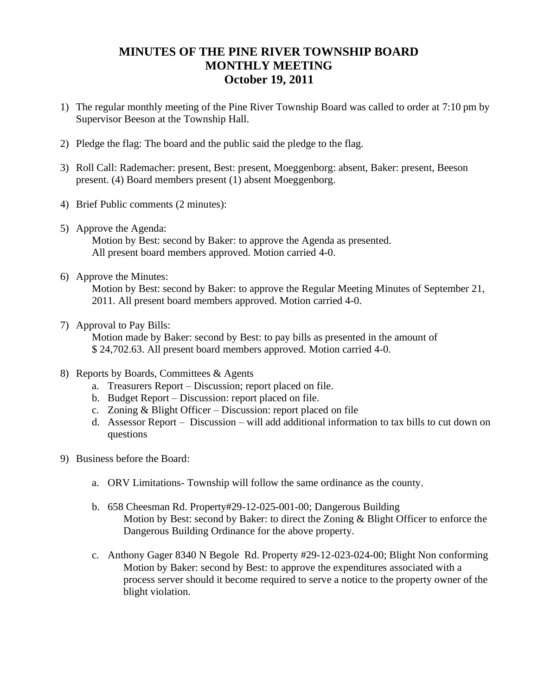## **MINUTES OF THE PINE RIVER TOWNSHIP BOARD MONTHLY MEETING October 19, 2011**

- 1) The regular monthly meeting of the Pine River Township Board was called to order at 7:10 pm by Supervisor Beeson at the Township Hall.
- 2) Pledge the flag: The board and the public said the pledge to the flag.
- 3) Roll Call: Rademacher: present, Best: present, Moeggenborg: absent, Baker: present, Beeson present. (4) Board members present (1) absent Moeggenborg.
- 4) Brief Public comments (2 minutes):
- 5) Approve the Agenda:

Motion by Best: second by Baker: to approve the Agenda as presented. All present board members approved. Motion carried 4-0.

6) Approve the Minutes:

Motion by Best: second by Baker: to approve the Regular Meeting Minutes of September 21, 2011. All present board members approved. Motion carried 4-0.

7) Approval to Pay Bills:

 Motion made by Baker: second by Best: to pay bills as presented in the amount of \$ 24,702.63. All present board members approved. Motion carried 4-0.

- 8) Reports by Boards, Committees & Agents
	- a. Treasurers Report Discussion; report placed on file.
	- b. Budget Report Discussion: report placed on file.
	- c. Zoning & Blight Officer Discussion: report placed on file
	- d. Assessor Report Discussion will add additional information to tax bills to cut down on questions
- 9) Business before the Board:
	- a. ORV Limitations- Township will follow the same ordinance as the county.
	- b. 658 Cheesman Rd. Property#29-12-025-001-00; Dangerous Building Motion by Best: second by Baker: to direct the Zoning & Blight Officer to enforce the Dangerous Building Ordinance for the above property.
	- c. Anthony Gager 8340 N Begole Rd. Property #29-12-023-024-00; Blight Non conforming Motion by Baker: second by Best: to approve the expenditures associated with a process server should it become required to serve a notice to the property owner of the blight violation.